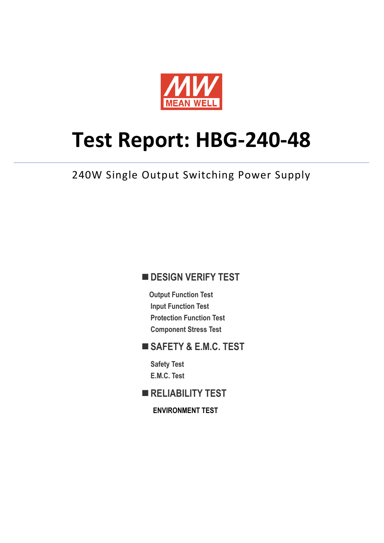

# **Test Report: HBG-240-48**

240W Single Output Switching Power Supply

### **DESIGN VERIFY TEST**

**Output Function Test Input Function Test Protection Function Test Component Stress Test**

#### **SAFETY & E.M.C. TEST**

**Safety Test E.M.C. Test**

**RELIABILITY TEST**

**ENVIRONMENT TEST**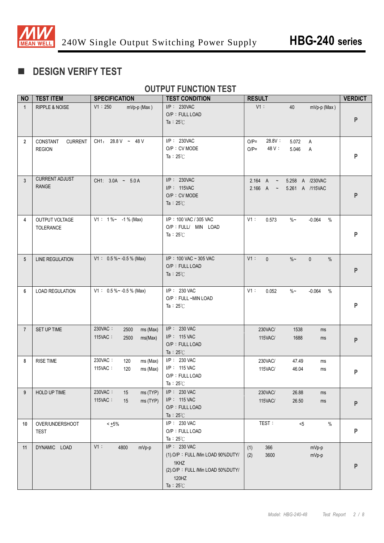

# **DESIGN VERIFY TEST**

## **OUTPUT FUNCTION TEST**

| <b>NO</b>      | <b>TEST ITEM</b>                            | <b>SPECIFICATION</b>                                      | <b>TEST CONDITION</b>                                                                                                       | <b>RESULT</b>                                                    | <b>VERDICT</b> |
|----------------|---------------------------------------------|-----------------------------------------------------------|-----------------------------------------------------------------------------------------------------------------------------|------------------------------------------------------------------|----------------|
| $\overline{1}$ | RIPPLE & NOISE                              | V1:250<br>mVp-p (Max)                                     | I/P: 230VAC<br>O/P: FULL LOAD<br>Ta: $25^{\circ}$ C                                                                         | $V1$ :<br>40<br>mVp-p (Max)                                      | ${\sf P}$      |
| $\overline{2}$ | <b>CURRENT</b><br>CONSTANT<br><b>REGION</b> | CH1: 28.8 V ~ 48 V                                        | I/P: 230VAC<br>O/P: CV MODE<br>Ta: $25^{\circ}$ C                                                                           | 28.8V:<br>$O/P=$<br>5.072<br>A<br>48 V :<br>$O/P=$<br>5.046<br>Α | P              |
| $\overline{3}$ | <b>CURRENT ADJUST</b><br><b>RANGE</b>       | CH1: 3.0A ~ 5.0A                                          | I/P: 230VAC<br>I/P: 115VAC<br>O/P: CV MODE<br>Ta : $25^{\circ}$ C                                                           | 5.258 A /230VAC<br>2.164 A ~<br>2.166 A ~<br>5.261 A /115VAC     | P              |
| 4              | OUTPUT VOLTAGE<br>TOLERANCE                 | $V1: 1\%~ - 1\%$ (Max)                                    | I/P: 100 VAC / 305 VAC<br>O/P : FULL/ MIN LOAD<br>Ta: $25^{\circ}$ C                                                        | V1:<br>0.573<br>$\%$ ~<br>$-0.064$<br>$\%$                       | P              |
| 5              | <b>LINE REGULATION</b>                      | $V1: 0.5\%~ 0.5\%$ (Max)                                  | $I/P$ : 100 VAC ~ 305 VAC<br>O/P: FULL LOAD<br>Ta : $25^{\circ}$ C                                                          | $V1$ :<br>$\%$ ~<br>$\mathbf{0}$<br>$\mathbf{0}$<br>%            | ${\sf P}$      |
| $6\phantom{1}$ | <b>LOAD REGULATION</b>                      | $V1: 0.5\%~ 0.5\%$ (Max)                                  | I/P: 230 VAC<br>O/P: FULL ~MIN LOAD<br>Ta: $25^{\circ}$ C                                                                   | $V1$ :<br>$\%$ $\sim$<br>$\%$<br>0.052<br>$-0.064$               | P              |
| $\overline{7}$ | SET UP TIME                                 | 230VAC:<br>2500<br>ms (Max)<br>115VAC:<br>2500<br>ms(Max) | I/P: 230 VAC<br>I/P: 115 VAC<br>O/P: FULL LOAD<br>Ta: $25^{\circ}$ C                                                        | 230VAC/<br>1538<br>ms<br>115VAC/<br>1688<br>ms                   | P              |
| 8              | <b>RISE TIME</b>                            | 230VAC:<br>120<br>ms (Max)<br>115VAC:<br>120<br>ms (Max)  | I/P: 230 VAC<br>I/P: 115 VAC<br>O/P: FULL LOAD<br>Ta: $25^\circ$ C                                                          | 230VAC/<br>47.49<br>ms<br>115VAC/<br>46.04<br>ms                 | P              |
| 9              | HOLD UP TIME                                | 230VAC:<br>15<br>ms (TYP)<br>115VAC:<br>ms (TYP)<br>15    | I/P: 230 VAC<br>I/P: 115 VAC<br>O/P: FULL LOAD<br>Ta: $25^{\circ}$ C                                                        | 230VAC/<br>26.88<br>ms<br>115VAC/<br>26.50<br>ms                 | ${\sf P}$      |
| 10             | OVER/UNDERSHOOT<br><b>TEST</b>              | $< +5\%$                                                  | I/P: 230 VAC<br>O/P: FULL LOAD<br>Ta: $25^{\circ}$ C                                                                        | TEST:<br>$< 5$<br>$\%$                                           | ${\sf P}$      |
| 11             | DYNAMIC LOAD                                | V1:<br>4800<br>mVp-p                                      | I/P: 230 VAC<br>(1).O/P: FULL /Min LOAD 90%DUTY/<br>1KHZ<br>(2).O/P: FULL /Min LOAD 50%DUTY/<br>120HZ<br>Ta: $25^{\circ}$ C | 366<br>(1)<br>mVp-p<br>3600<br>mVp-p<br>(2)                      | P              |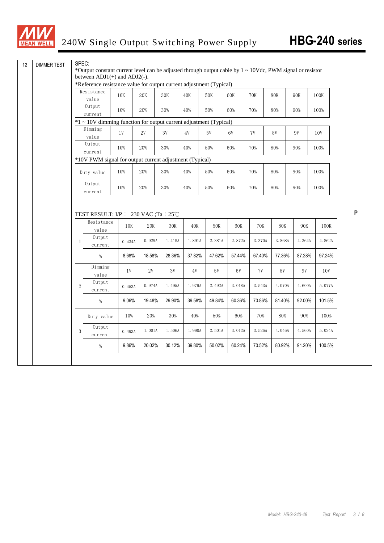

| <b>DIMMER TEST</b> | SPEC:          |                                                                                                                                                     |               |                |                                    |               |        |               |        |        |            |        |                |
|--------------------|----------------|-----------------------------------------------------------------------------------------------------------------------------------------------------|---------------|----------------|------------------------------------|---------------|--------|---------------|--------|--------|------------|--------|----------------|
|                    |                | *Output constant current level can be adjusted through output cable by $1 \sim 10$ Vdc, PWM signal or resistor<br>between $ADJ1(+)$ and $ADJ2(-)$ . |               |                |                                    |               |        |               |        |        |            |        |                |
|                    |                | *Reference resistance value for output current adjustment (Typical)                                                                                 |               |                |                                    |               |        |               |        |        |            |        |                |
|                    |                | Resistance                                                                                                                                          | $10K$         | $20\mathrm{K}$ | 30K                                | 40K           |        | 50K           | 60K    | 70K    | <b>80K</b> | 90K    | 100K           |
|                    |                | value                                                                                                                                               |               |                |                                    |               |        |               |        |        |            |        |                |
|                    |                | Output<br>current                                                                                                                                   | 10%           | 20%            | 30%                                | 40%           |        | 50%           | 60%    | 70%    | 80%        | 90%    | 100%           |
|                    |                | $*1 \sim 10V$ dimming function for output current adjustment (Typical)                                                                              |               |                |                                    |               |        |               |        |        |            |        |                |
|                    |                | Dimming<br>value                                                                                                                                    | $1\mathrm{V}$ | $2\mathrm{V}$  | $3\mathrm{V}$                      | $4\mathrm{V}$ |        | $5\mathrm{V}$ | 6V     | 7V     | 8V         | 9V     | 10V            |
|                    |                | Output<br>current                                                                                                                                   | 10%           | 20%            | 30%                                | 40%           |        | 50%           | 60%    | 70%    | 80%        | 90%    | 100%           |
|                    |                | *10V PWM signal for output current adjustment (Typical)                                                                                             |               |                |                                    |               |        |               |        |        |            |        |                |
|                    |                | Duty value                                                                                                                                          | 10%           | 20%            | 30%                                | 40%           |        | 50%           | 60%    | 70%    | 80%        | 90%    | 100%           |
|                    |                | Output<br>current                                                                                                                                   | 10%           | 20%            | 30%                                | 40%           |        | 50%           | 60%    | 70%    | 80%        | 90%    | 100%           |
|                    |                |                                                                                                                                                     |               |                | TEST RESULT: I/P: 230 VAC;Ta: 25°C |               |        |               |        |        |            |        |                |
|                    |                | Resistance<br>value                                                                                                                                 | 10K           | 20K            | 30K                                |               | 40K    | 50K           | 60K    | 70K    | <b>80K</b> | 90K    | 100K           |
|                    | $\mathbf 1$    | Output<br>current                                                                                                                                   | 0.434A        | 0.929A         | 1.418A                             |               | 1.891A | 2.381A        | 2.872A | 3.370A | 3.868A     | 4.364A | 4.862A         |
|                    |                | $\%$                                                                                                                                                | 8.68%         | 18.58%         | 28.36%                             |               | 37.82% | 47.62%        | 57.44% | 67.40% | 77.36%     | 87.28% | 97.24%         |
|                    |                | Dimming<br>value                                                                                                                                    | 1V            | 2V             | 3V                                 |               | 4V     | 5V            | 6V     | 7V     | 8V         | 9V     | 10V            |
|                    | $\overline{2}$ | Output<br>current                                                                                                                                   | 0.453A        | 0.974A         | 1.495A                             |               | 1.979A | 2.492A        | 3.018A | 3.543A | 4.070A     | 4.600A | 5.077A         |
|                    |                | $\%$                                                                                                                                                | 9.06%         | 19.48%         | 29.90%                             |               | 39.58% | 49.84%        | 60.36% | 70.86% | 81.40%     | 92.00% |                |
|                    |                | Duty value                                                                                                                                          | 10%           | 20%            | 30%                                |               | 40%    | 50%           | 60%    | 70%    | 80%        | 90%    | 101.5%<br>100% |
|                    | 3              | Output<br>current                                                                                                                                   | 0.493A        | 1.001A         | 1.506A                             | 1.990A        |        | 2.501A        | 3.012A | 3.526A | 4.046A     | 4.560A | 5.024A         |

**P**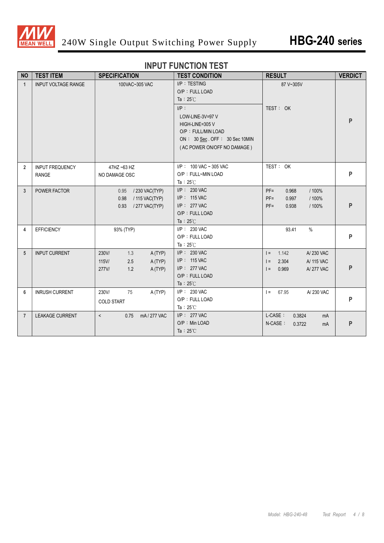

#### **INPUT FUNCTION TEST**

| <b>NO</b>       | <b>TEST ITEM</b>                       | <b>SPECIFICATION</b>                                                         | <b>TEST CONDITION</b>                                                                                                                                                                          | <b>RESULT</b>                                                                        | <b>VERDICT</b> |
|-----------------|----------------------------------------|------------------------------------------------------------------------------|------------------------------------------------------------------------------------------------------------------------------------------------------------------------------------------------|--------------------------------------------------------------------------------------|----------------|
| $\mathbf{1}$    | <b>INPUT VOLTAGE RANGE</b>             | 100VAC~305 VAC                                                               | I/P: TESTING<br>O/P: FULL LOAD<br>Ta : $25^{\circ}$ C<br>$I/P$ :<br>LOW-LINE-3V=97 V<br>HIGH-LINE=305 V<br>O/P : FULL/MIN LOAD<br>ON: 30 Sec. OFF: 30 Sec 10MIN<br>(AC POWER ON/OFF NO DAMAGE) | 87 V~305V<br>TEST: OK                                                                | P              |
| $\overline{2}$  | <b>INPUT FREQUENCY</b><br><b>RANGE</b> | 47HZ ~63 HZ<br>NO DAMAGE OSC                                                 | $I/P$ : 100 VAC ~ 305 VAC<br>O/P: FULL~MIN LOAD<br>Ta: $25^{\circ}$ C                                                                                                                          | TEST: OK                                                                             | P              |
| 3               | POWER FACTOR                           | 0.95 / 230 VAC(TYP)<br>0.98<br>/ 115 VAC(TYP)<br>0.93<br>/ 277 VAC(TYP)      | I/P: 230 VAC<br>I/P: 115 VAC<br>I/P: 277 VAC<br>O/P: FULL LOAD<br>Ta: $25^{\circ}$ C                                                                                                           | $PF =$<br>0.968<br>/ 100%<br>$PF =$<br>0.997<br>/ 100%<br>0.938<br>$PF =$<br>/ 100%  | P              |
| 4               | <b>EFFICIENCY</b>                      | 93% (TYP)                                                                    | I/P: 230 VAC<br>O/P: FULL LOAD<br>Ta: $25^{\circ}$ C                                                                                                                                           | 93.41<br>$\%$                                                                        | P              |
| 5               | <b>INPUT CURRENT</b>                   | 230V/<br>1.3<br>A(TYP)<br>2.5<br>A (TYP)<br>115V/<br>277V/<br>1.2<br>A (TYP) | I/P: 230 VAC<br>I/P: 115 VAC<br>I/P: 277 VAC<br>O/P: FULL LOAD<br>Ta: $25^{\circ}$ C                                                                                                           | 1.142<br>A/230 VAC<br>$=$<br>2.304<br>A/ 115 VAC<br>$=$<br>0.969<br>A/277 VAC<br>$=$ | P              |
| $6\phantom{1}6$ | <b>INRUSH CURRENT</b>                  | 230V/<br>75<br>A (TYP)<br><b>COLD START</b>                                  | I/P: 230 VAC<br>O/P: FULL LOAD<br>Ta: $25^{\circ}$ C                                                                                                                                           | $I = 67.95$<br>A/230 VAC                                                             | P              |
| $\overline{7}$  | <b>LEAKAGE CURRENT</b>                 | mA/277 VAC<br>$\prec$<br>0.75                                                | $I/P$ : 277 VAC<br>O/P: Min LOAD<br>Ta: $25^{\circ}$ C                                                                                                                                         | L-CASE:<br>0.3824<br>mA<br>N-CASE:<br>0.3722<br>mA                                   | P              |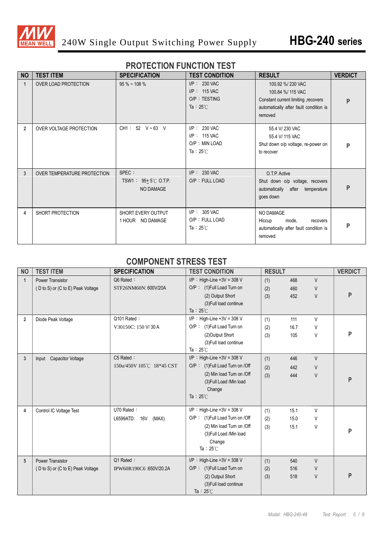

#### **PROTECTION FUNCTION TEST**

| <b>NO</b>      | <b>TEST ITEM</b>            | <b>SPECIFICATION</b>                                 | <b>TEST CONDITION</b>                                                    | <b>RESULT</b>                                                                                                                     | <b>VERDICT</b> |
|----------------|-----------------------------|------------------------------------------------------|--------------------------------------------------------------------------|-----------------------------------------------------------------------------------------------------------------------------------|----------------|
|                | OVER LOAD PROTECTION        | $95\%$ ~ 108 %                                       | $I/P: 230$ VAC<br>I/P: 115 VAC<br>O/P: TESTING<br>Ta : $25^{\circ}$ C    | 100.92 %/230 VAC<br>100.84 %/ 115 VAC<br>Constant current limiting, recovers<br>automatically after fault condition is<br>removed | P              |
| $\overline{2}$ | OVER VOLTAGE PROTECTION     | CH1: 52 V ~ 63 V                                     | $I/P: 230$ VAC<br>$I/P$ : 115 VAC<br>O/P: MIN LOAD<br>Ta: $25^{\circ}$ C | 55.4 V/230 VAC<br>55.4 V/ 115 VAC<br>Shut down o/p voltage, re-power on<br>to recover                                             | P              |
| 3              | OVER TEMPERATURE PROTECTION | SPEC :<br>TSW1: $95+5^{\circ}$ C O.T.P.<br>NO DAMAGE | $I/P: 230$ VAC<br>O/P: FULL LOAD                                         | O.T.P. Active<br>Shut down o/p voltage, recovers<br>automatically after temperature<br>goes down                                  | P              |
| 4              | SHORT PROTECTION            | SHORT EVERY OUTPUT<br>1 HOUR NO DAMAGE               | $I/P$ : 305 VAC<br>O/P: FULL LOAD<br>Ta: $25^{\circ}$ C                  | NO DAMAGE<br>Hiccup<br>mode,<br>recovers<br>automatically after fault condition is<br>removed.                                    | P              |

#### **COMPONENT STRESS TEST**

| <b>NO</b>      | <b>TEST ITEM</b>                  | <b>SPECIFICATION</b>     | <b>TEST CONDITION</b>           | <b>RESULT</b> |      |        | <b>VERDICT</b> |
|----------------|-----------------------------------|--------------------------|---------------------------------|---------------|------|--------|----------------|
| $\mathbf{1}$   | <b>Power Transistor</b>           | Q6 Rated:                | $I/P$ : High-Line +3V = 308 V   | (1)           | 468  | $\vee$ |                |
|                | (D to S) or (C to E) Peak Voltage | STF26NM60N: 600V/20A     | O/P: (1)Full Load Turn on       | (2)           | 460  | V      |                |
|                |                                   |                          | (2) Output Short                | (3)           | 452  | V      | P              |
|                |                                   |                          | (3) Full load continue          |               |      |        |                |
|                |                                   |                          | Ta: $25^{\circ}$ C              |               |      |        |                |
| $\overline{2}$ | Diode Peak Voltage                | Q101 Rated:              | $I/P$ : High-Line +3V = 308 V   | (1)           | 111  | V      |                |
|                |                                   | V30150C: 150 V/30 A      | O/P: (1)Full Load Turn on       | (2)           | 16.7 | V      |                |
|                |                                   |                          | (2)Output Short                 | (3)           | 105  | V      | P              |
|                |                                   |                          | (3) Full load continue          |               |      |        |                |
|                |                                   |                          | Ta: $25^{\circ}$ C              |               |      |        |                |
| 3              | <b>Capacitor Voltage</b><br>Input | C5 Rated:                | $I/P$ : High-Line +3V = 308 V   | (1)           | 446  | $\vee$ |                |
|                |                                   | 150u/450V 105℃ 18*45 CST | O/P: (1) Full Load Turn on /Off | (2)           | 442  | $\vee$ |                |
|                |                                   |                          | (2) Min load Turn on /Off       | (3)           | 444  | V      | P              |
|                |                                   |                          | (3) Full Load /Min load         |               |      |        |                |
|                |                                   |                          | Change<br>Ta: $25^{\circ}$ C    |               |      |        |                |
|                |                                   |                          |                                 |               |      |        |                |
| 4              | Control IC Voltage Test           | U70 Rated:               | $I/P$ : High-Line +3V = 308 V   | (1)           | 15.1 | V      |                |
|                |                                   | L6599ATD: 16V<br>(MAX)   | O/P: (1)Full Load Turn on /Off  | (2)           | 15.0 | V      |                |
|                |                                   |                          | (2) Min load Turn on /Off       | (3)           | 15.1 | V      |                |
|                |                                   |                          | (3) Full Load /Min load         |               |      |        | P              |
|                |                                   |                          | Change                          |               |      |        |                |
|                |                                   |                          | Ta: $25^{\circ}$ C              |               |      |        |                |
| 5              | <b>Power Transistor</b>           | Q1 Rated:                | $I/P$ : High-Line +3V = 308 V   | (1)           | 540  | V      |                |
|                | (D to S) or (C to E) Peak Voltage | IPW60R190C6:650V/20.2A   | O/P: (1)Full Load Turn on       | (2)           | 516  | V      |                |
|                |                                   |                          | (2) Output Short                | (3)           | 518  | V      | P              |
|                |                                   |                          | (3) Full load continue          |               |      |        |                |
|                |                                   |                          | Ta: $25^{\circ}$ C              |               |      |        |                |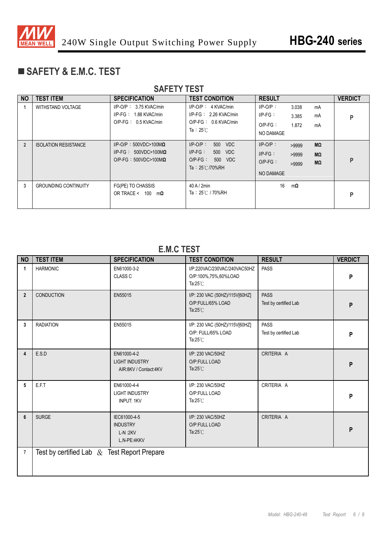

# **SAFETY & E.M.C. TEST**

| <b>SAFETY TEST</b> |                             |                                                                                                 |                                                                                                      |                                                      |                                           |                |  |  |  |
|--------------------|-----------------------------|-------------------------------------------------------------------------------------------------|------------------------------------------------------------------------------------------------------|------------------------------------------------------|-------------------------------------------|----------------|--|--|--|
| <b>NO</b>          | <b>TEST ITEM</b>            | <b>SPECIFICATION</b>                                                                            | <b>TEST CONDITION</b>                                                                                | <b>RESULT</b>                                        |                                           | <b>VERDICT</b> |  |  |  |
|                    | WITHSTAND VOLTAGE           | $I/P$ -O/P: 3.75 KVAC/min<br>$I/P-FG: 1.88$ KVAC/min<br>$O/P$ -FG : 0.5 KVAC/min                | $I/P$ -O/P : 4 KVAC/min<br>$I/P-FG: 2.26$ KVAC/min<br>$O/P-FG: 0.6$ KVAC/min<br>Ta: $25^{\circ}$ C   | $I/P-O/P$ :<br>$I/P-FG$ :<br>$O/P-FG$ :<br>NO DAMAGE | 3.038<br>mA<br>mA<br>3.385<br>1.872<br>mA | P              |  |  |  |
| $\overline{2}$     | <b>ISOLATION RESISTANCE</b> | $I/P$ -O/P: 500VDC>100M $\Omega$<br>I/P-FG: $500VDC>100M\Omega$<br>$O/P-FG : 500VDC>100M\Omega$ | $I/P-O/P$ :<br>500 VDC<br>$I/P-FG$ :<br>500 VDC<br>$O/P-FG$ :<br>500 VDC<br>Ta: $25^{\circ}$ C/70%RH | $I/P-O/P$ :<br>$I/P-FG$ :<br>$O/P-FG$ :<br>NO DAMAGE | MΩ<br>>9999<br>MΩ<br>>9999<br>MΩ<br>>9999 | P              |  |  |  |
| 3                  | <b>GROUNDING CONTINUITY</b> | FG(PE) TO CHASSIS<br>OR TRACE < $100 \text{ m}\Omega$                                           | 40A/2min<br>Ta: 25℃ / 70%RH                                                                          | 16                                                   | $m\Omega$                                 | P              |  |  |  |

#### **E.M.C TEST**

| <b>NO</b>      | <b>TEST ITEM</b>                               | <b>SPECIFICATION</b>                                          | <b>TEST CONDITION</b>                                                      | <b>RESULT</b>                        | <b>VERDICT</b> |
|----------------|------------------------------------------------|---------------------------------------------------------------|----------------------------------------------------------------------------|--------------------------------------|----------------|
| $\mathbf{1}$   | <b>HARMONIC</b>                                | EN61000-3-2<br><b>CLASS C</b>                                 | I/P:220VAC/230VAC/240VAC50HZ<br>O/P:100%,75%,60%LOAD<br>Ta: $25^{\circ}$ C | <b>PASS</b>                          | P              |
| $\overline{2}$ | <b>CONDUCTION</b>                              | EN55015                                                       | I/P: 230 VAC (50HZ)/115V[60HZ]<br>O/P:FULL/65% LOAD<br>Ta: $25^{\circ}$ C  | <b>PASS</b><br>Test by certified Lab | P              |
| $\mathbf{3}$   | <b>RADIATION</b>                               | EN55015                                                       | I/P: 230 VAC (50HZ)/115V[60HZ]<br>O/P: FULL/65% LOAD<br>Ta: $25^{\circ}$ C | <b>PASS</b><br>Test by certified Lab | P              |
| 4              | E.S.D                                          | EN61000-4-2<br><b>LIGHT INDUSTRY</b><br>AIR:8KV / Contact:4KV | I/P: 230 VAC/50HZ<br>O/P:FULL LOAD<br>Ta: $25^{\circ}$ C                   | CRITERIA A                           | P              |
| 5              | E.F.T                                          | EN61000-4-4<br><b>LIGHT INDUSTRY</b><br><b>INPUT: 1KV</b>     | I/P: 230 VAC/50HZ<br>O/P:FULL LOAD<br>Ta: $25^{\circ}$ C                   | CRITERIA A                           | P              |
| 6              | <b>SURGE</b>                                   | IEC61000-4-5<br><b>INDUSTRY</b><br>$L-N:2KV$<br>L,N-PE:4KKV   | I/P: 230 VAC/50HZ<br>O/P:FULL LOAD<br>Ta: $25^{\circ}$ C                   | CRITERIA A                           | P              |
| $\overline{7}$ | Test by certified Lab $\&$ Test Report Prepare |                                                               |                                                                            |                                      |                |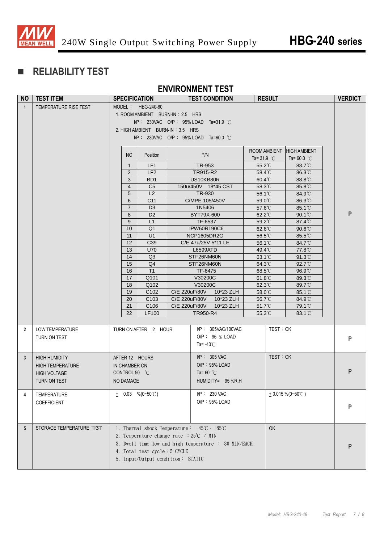

# **RELIABILITY TEST**

#### **ENVIRONMENT TEST**

| <b>NO</b>       | <b>TEST ITEM</b>         | <b>SPECIFICATION</b> |                                         |               | <b>TEST CONDITION</b>                                                        | <b>RESULT</b>                        |                            | <b>VERDICT</b> |
|-----------------|--------------------------|----------------------|-----------------------------------------|---------------|------------------------------------------------------------------------------|--------------------------------------|----------------------------|----------------|
| $\mathbf{1}$    | TEMPERATURE RISE TEST    |                      | MODEL: HBG-240-60                       |               |                                                                              |                                      |                            |                |
|                 |                          |                      | 1. ROOM AMBIENT BURN-IN: 2.5 HRS        |               |                                                                              |                                      |                            |                |
|                 |                          |                      |                                         |               | $I/P$ : 230VAC O/P : 95% LOAD Ta=31.9 °C                                     |                                      |                            |                |
|                 |                          |                      | 2. HIGH AMBIENT BURN-IN: 3.5 HRS        |               |                                                                              |                                      |                            |                |
|                 |                          |                      |                                         |               | $I/P$ : 230VAC O/P : 95% LOAD Ta=60.0 °C                                     |                                      |                            |                |
|                 |                          |                      |                                         |               |                                                                              |                                      |                            |                |
|                 |                          | NO                   | Position                                |               | P/N                                                                          |                                      | ROOM AMBIENT HIGH AMBIENT  |                |
|                 |                          |                      |                                         |               |                                                                              | Ta= 31.9 $\degree$ C                 | Ta= $60.0\degree$ C        |                |
|                 |                          | $\mathbf{1}$         | LF1                                     |               | TR-953                                                                       | 55.2°C                               | 83.7°C                     |                |
|                 |                          | 2                    | LF <sub>2</sub>                         |               | TR915-R2                                                                     | 58.4°C                               | 86.3°C                     |                |
|                 |                          | 3<br>$\overline{4}$  | BD <sub>1</sub><br>C <sub>5</sub>       |               | US10KB80R                                                                    | $60.4^{\circ}$ C                     | 88.8°C                     |                |
|                 |                          | 5                    | L2                                      |               | 150u/450V 18*45 CST<br>TR-930                                                | 58.3°C<br>$56.1^{\circ}$             | $85.8^{\circ}$ C<br>84.9°C |                |
|                 |                          | 6                    | C <sub>11</sub>                         |               | C/MPE 105/450V                                                               | $59.0^{\circ}$ C                     | 86.3°C                     |                |
|                 |                          | $\overline{7}$       | D <sub>3</sub>                          |               | 1N5406                                                                       | $57.6^{\circ}$ C                     | $85.1^{\circ}$             |                |
|                 |                          | 8                    | D <sub>2</sub>                          |               | BYT79X-600                                                                   | 62.2°C                               | 90.1°C                     | P              |
|                 |                          | 9                    | L1                                      |               | TF-6537                                                                      | 59.2°C                               | 87.4°C                     |                |
|                 |                          | 10                   | Q <sub>1</sub>                          |               | <b>IPW60R190C6</b>                                                           | 62.6°C                               | 90.6°C                     |                |
|                 |                          | 11                   | U1                                      |               | NCP1605DR2G                                                                  | $56.5^{\circ}$ C                     | $85.5^{\circ}$             |                |
|                 |                          | 12                   | C39                                     |               | C/E 47u/25V 5*11 LE                                                          | $56.1^{\circ}$                       | 84.7°C                     |                |
|                 |                          | 13                   | <b>U70</b>                              |               | <b>L6599ATD</b>                                                              | 49.4°C                               | 77.8°C                     |                |
|                 |                          | 14                   | Q <sub>3</sub>                          |               | STF26NM60N                                                                   | $63.1^{\circ}$                       | $91.3^{\circ}$             |                |
|                 |                          | 15                   | Q <sub>4</sub><br>T1                    |               | STF26NM60N                                                                   | 64.3°C                               | $92.7^{\circ}$             |                |
|                 |                          | 16<br>17             | Q101                                    |               | TF-6475<br>V30200C                                                           | $68.5^{\circ}$ C<br>$61.8^{\circ}$ C | $96.9^{\circ}$<br>89.3°C   |                |
|                 |                          | 18                   | Q102                                    |               | V30200C                                                                      | $62.3^{\circ}$ C                     | 89.7°C                     |                |
|                 |                          | 19                   | C <sub>102</sub>                        |               | C/E 220uF/80V 10*23 ZLH                                                      | 58.0°C                               | 85.1°C                     |                |
|                 |                          | 20                   | C <sub>103</sub>                        |               | C/E 220uF/80V<br>10*23 ZLH                                                   | 56.7°C                               | 84.9°C                     |                |
|                 |                          | 21                   | C <sub>106</sub>                        | C/E 220uF/80V | 10*23 ZLH                                                                    | 51.7°C                               | 79.1°C                     |                |
|                 |                          | 22                   | <b>LF100</b>                            |               | TR950-R4                                                                     | $55.3^{\circ}$                       | $83.1^{\circ}$             |                |
|                 |                          |                      |                                         |               |                                                                              |                                      |                            |                |
| $\overline{2}$  | <b>LOW TEMPERATURE</b>   |                      | TURN ON AFTER 2 HOUR                    |               | $I/P$ : 305VAC/100VAC                                                        | TEST: OK                             |                            |                |
|                 | TURN ON TEST             |                      |                                         |               | O/P: 95 % LOAD                                                               |                                      |                            | P              |
|                 |                          |                      |                                         |               | Ta= -40 $\degree$ C                                                          |                                      |                            |                |
|                 |                          |                      |                                         |               |                                                                              |                                      |                            |                |
| 3 <sup>5</sup>  | <b>HIGH HUMIDITY</b>     | AFTER 12 HOURS       |                                         |               | $I/P$ : 305 VAC                                                              | TEST: OK                             |                            |                |
|                 | <b>HIGH TEMPERATURE</b>  | IN CHAMBER ON        |                                         |               | O/P: 95% LOAD                                                                |                                      |                            | P              |
|                 | <b>HIGH VOLTAGE</b>      | CONTROL 50 °C        |                                         |               | Ta=60 $^{\circ}$ C                                                           |                                      |                            |                |
|                 | TURN ON TEST             | NO DAMAGE            |                                         |               | HUMIDITY= 95 %R.H                                                            |                                      |                            |                |
| 4               | TEMPERATURE              |                      | $\pm$ 0.03 %(0~50°C)                    |               | I/P: 230 VAC                                                                 |                                      | $+0.015\%$ (0~50°C)        |                |
|                 | COEFFICIENT              |                      |                                         |               | O/P: 95% LOAD                                                                |                                      |                            |                |
|                 |                          |                      |                                         |               |                                                                              |                                      |                            | P              |
|                 |                          |                      |                                         |               |                                                                              |                                      |                            |                |
|                 | STORAGE TEMPERATURE TEST |                      |                                         |               |                                                                              |                                      |                            |                |
| $5\overline{)}$ |                          |                      | 2. Temperature change rate : 25°C / MIN |               | 1. Thermal shock Temperature: $-45^{\circ}\text{C} \sim +85^{\circ}\text{C}$ | <b>OK</b>                            |                            |                |
|                 |                          |                      |                                         |               | 3. Dwell time low and high temperature : 30 MIN/EACH                         |                                      |                            |                |
|                 |                          |                      |                                         |               |                                                                              |                                      |                            | Р              |
|                 |                          |                      | 4. Total test cycle: 5 CYCLE            |               |                                                                              |                                      |                            |                |
|                 |                          |                      | 5. Input/Output condition: STATIC       |               |                                                                              |                                      |                            |                |